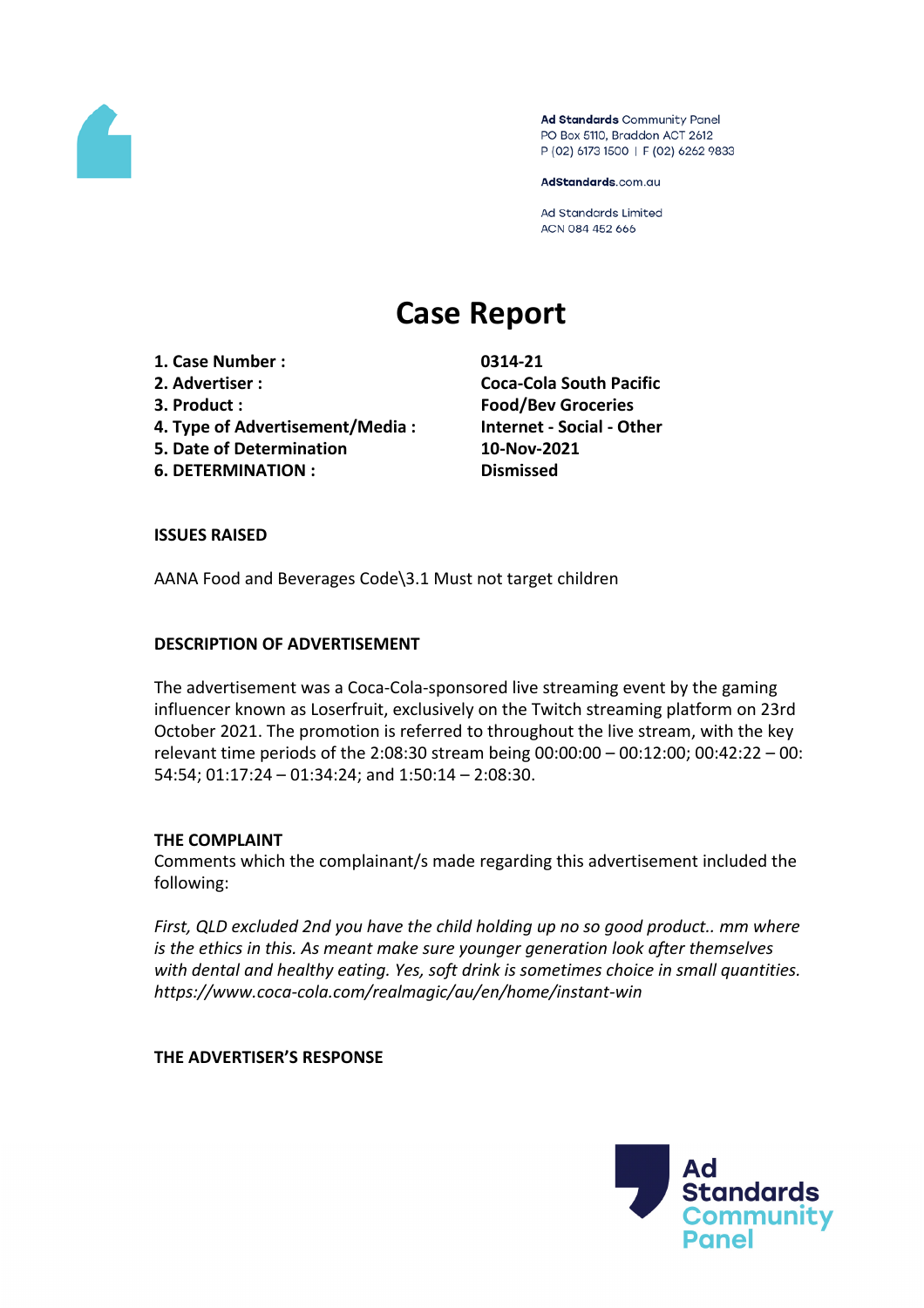

Ad Standards Community Panel PO Box 5110, Braddon ACT 2612 P (02) 6173 1500 | F (02) 6262 9833

AdStandards.com.au

Ad Standards Limited ACN 084 452 666

# **Case Report**

- **1. Case Number : 0314-21**
- 
- 
- **4. Type of Advertisement/Media : Internet - Social - Other**
- **5. Date of Determination 10-Nov-2021**
- **6. DETERMINATION : Dismissed**

**2. Advertiser : Coca-Cola South Pacific 3. Product : Food/Bev Groceries**

# **ISSUES RAISED**

AANA Food and Beverages Code\3.1 Must not target children

# **DESCRIPTION OF ADVERTISEMENT**

The advertisement was a Coca-Cola-sponsored live streaming event by the gaming influencer known as Loserfruit, exclusively on the Twitch streaming platform on 23rd October 2021. The promotion is referred to throughout the live stream, with the key relevant time periods of the 2:08:30 stream being 00:00:00 – 00:12:00; 00:42:22 – 00: 54:54; 01:17:24 – 01:34:24; and 1:50:14 – 2:08:30.

# **THE COMPLAINT**

Comments which the complainant/s made regarding this advertisement included the following:

*First, QLD excluded 2nd you have the child holding up no so good product.. mm where is the ethics in this. As meant make sure younger generation look after themselves with dental and healthy eating. Yes, soft drink is sometimes choice in small quantities. https://www.coca-cola.com/realmagic/au/en/home/instant-win*

## **THE ADVERTISER'S RESPONSE**

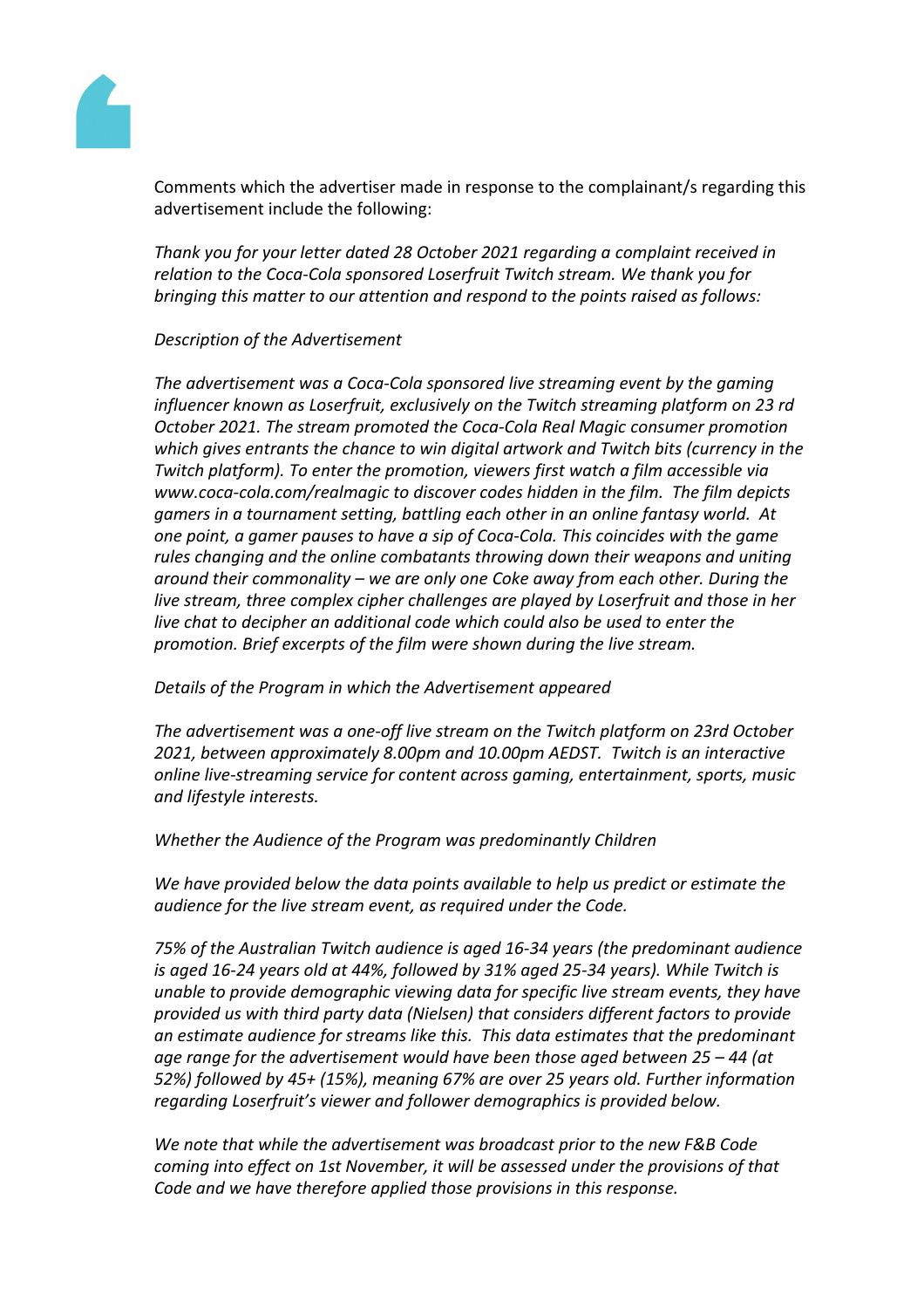

Comments which the advertiser made in response to the complainant/s regarding this advertisement include the following:

*Thank you for your letter dated 28 October 2021 regarding a complaint received in relation to the Coca-Cola sponsored Loserfruit Twitch stream. We thank you for bringing this matter to our attention and respond to the points raised as follows:*

## *Description of the Advertisement*

*The advertisement was a Coca-Cola sponsored live streaming event by the gaming influencer known as Loserfruit, exclusively on the Twitch streaming platform on 23 rd October 2021. The stream promoted the Coca-Cola Real Magic consumer promotion which gives entrants the chance to win digital artwork and Twitch bits (currency in the Twitch platform). To enter the promotion, viewers first watch a film accessible via www.coca-cola.com/realmagic to discover codes hidden in the film. The film depicts gamers in a tournament setting, battling each other in an online fantasy world. At one point, a gamer pauses to have a sip of Coca-Cola. This coincides with the game rules changing and the online combatants throwing down their weapons and uniting around their commonality – we are only one Coke away from each other. During the live stream, three complex cipher challenges are played by Loserfruit and those in her live chat to decipher an additional code which could also be used to enter the promotion. Brief excerpts of the film were shown during the live stream.*

## *Details of the Program in which the Advertisement appeared*

*The advertisement was a one-off live stream on the Twitch platform on 23rd October 2021, between approximately 8.00pm and 10.00pm AEDST. Twitch is an interactive online live-streaming service for content across gaming, entertainment, sports, music and lifestyle interests.*

*Whether the Audience of the Program was predominantly Children*

*We have provided below the data points available to help us predict or estimate the audience for the live stream event, as required under the Code.* 

*75% of the Australian Twitch audience is aged 16-34 years (the predominant audience is aged 16-24 years old at 44%, followed by 31% aged 25-34 years). While Twitch is unable to provide demographic viewing data for specific live stream events, they have provided us with third party data (Nielsen) that considers different factors to provide an estimate audience for streams like this. This data estimates that the predominant age range for the advertisement would have been those aged between 25 – 44 (at 52%) followed by 45+ (15%), meaning 67% are over 25 years old. Further information regarding Loserfruit's viewer and follower demographics is provided below.*

*We note that while the advertisement was broadcast prior to the new F&B Code coming into effect on 1st November, it will be assessed under the provisions of that Code and we have therefore applied those provisions in this response.*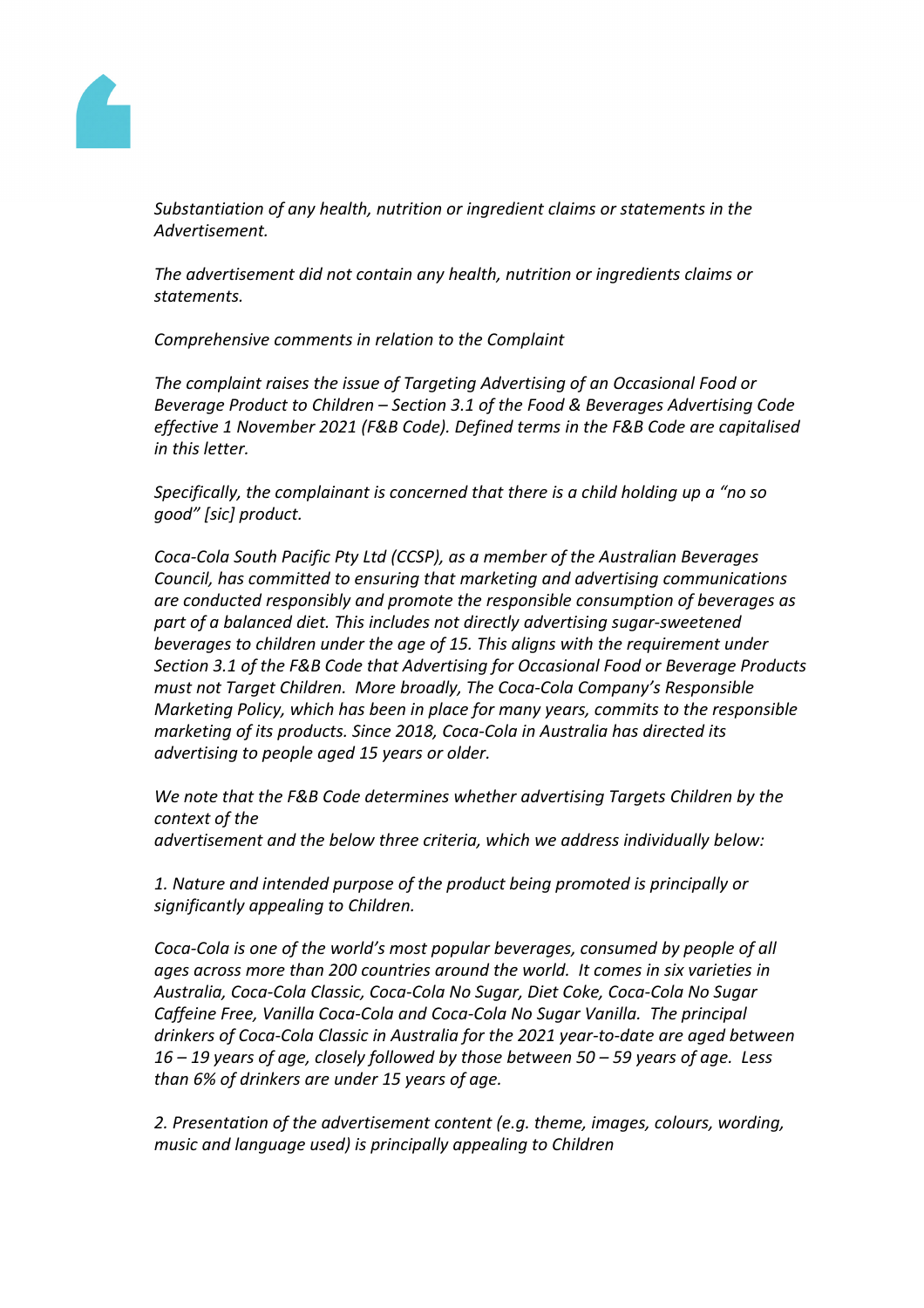

*Substantiation of any health, nutrition or ingredient claims or statements in the Advertisement.*

*The advertisement did not contain any health, nutrition or ingredients claims or statements.*

*Comprehensive comments in relation to the Complaint*

*The complaint raises the issue of Targeting Advertising of an Occasional Food or Beverage Product to Children – Section 3.1 of the Food & Beverages Advertising Code effective 1 November 2021 (F&B Code). Defined terms in the F&B Code are capitalised in this letter.* 

*Specifically, the complainant is concerned that there is a child holding up a "no so good" [sic] product.*

*Coca-Cola South Pacific Pty Ltd (CCSP), as a member of the Australian Beverages Council, has committed to ensuring that marketing and advertising communications are conducted responsibly and promote the responsible consumption of beverages as part of a balanced diet. This includes not directly advertising sugar-sweetened beverages to children under the age of 15. This aligns with the requirement under Section 3.1 of the F&B Code that Advertising for Occasional Food or Beverage Products must not Target Children. More broadly, The Coca-Cola Company's Responsible Marketing Policy, which has been in place for many years, commits to the responsible marketing of its products. Since 2018, Coca-Cola in Australia has directed its advertising to people aged 15 years or older.*

*We note that the F&B Code determines whether advertising Targets Children by the context of the advertisement and the below three criteria, which we address individually below:*

*1. Nature and intended purpose of the product being promoted is principally or significantly appealing to Children.*

*Coca-Cola is one of the world's most popular beverages, consumed by people of all ages across more than 200 countries around the world. It comes in six varieties in Australia, Coca-Cola Classic, Coca-Cola No Sugar, Diet Coke, Coca-Cola No Sugar Caffeine Free, Vanilla Coca-Cola and Coca-Cola No Sugar Vanilla. The principal drinkers of Coca-Cola Classic in Australia for the 2021 year-to-date are aged between 16 – 19 years of age, closely followed by those between 50 – 59 years of age. Less than 6% of drinkers are under 15 years of age.* 

*2. Presentation of the advertisement content (e.g. theme, images, colours, wording, music and language used) is principally appealing to Children*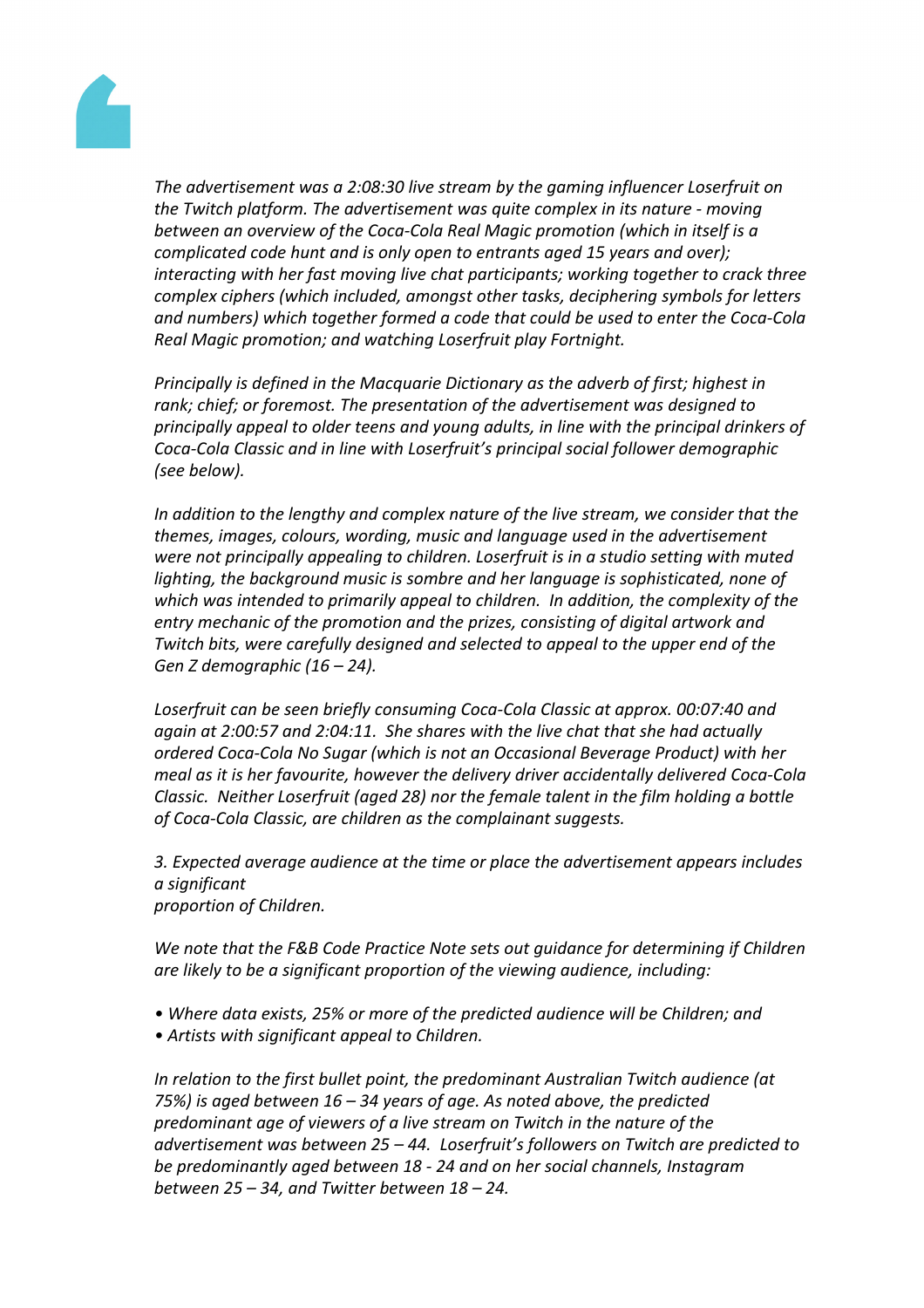

*The advertisement was a 2:08:30 live stream by the gaming influencer Loserfruit on the Twitch platform. The advertisement was quite complex in its nature - moving between an overview of the Coca-Cola Real Magic promotion (which in itself is a complicated code hunt and is only open to entrants aged 15 years and over); interacting with her fast moving live chat participants; working together to crack three complex ciphers (which included, amongst other tasks, deciphering symbols for letters and numbers) which together formed a code that could be used to enter the Coca-Cola Real Magic promotion; and watching Loserfruit play Fortnight.*

*Principally is defined in the Macquarie Dictionary as the adverb of first; highest in rank; chief; or foremost. The presentation of the advertisement was designed to principally appeal to older teens and young adults, in line with the principal drinkers of Coca-Cola Classic and in line with Loserfruit's principal social follower demographic (see below).*

*In addition to the lengthy and complex nature of the live stream, we consider that the themes, images, colours, wording, music and language used in the advertisement were not principally appealing to children. Loserfruit is in a studio setting with muted lighting, the background music is sombre and her language is sophisticated, none of which was intended to primarily appeal to children. In addition, the complexity of the entry mechanic of the promotion and the prizes, consisting of digital artwork and Twitch bits, were carefully designed and selected to appeal to the upper end of the Gen Z demographic (16 – 24).*

*Loserfruit can be seen briefly consuming Coca-Cola Classic at approx. 00:07:40 and again at 2:00:57 and 2:04:11. She shares with the live chat that she had actually ordered Coca-Cola No Sugar (which is not an Occasional Beverage Product) with her meal as it is her favourite, however the delivery driver accidentally delivered Coca-Cola Classic. Neither Loserfruit (aged 28) nor the female talent in the film holding a bottle of Coca-Cola Classic, are children as the complainant suggests.*

*3. Expected average audience at the time or place the advertisement appears includes a significant proportion of Children.*

*We note that the F&B Code Practice Note sets out guidance for determining if Children are likely to be a significant proportion of the viewing audience, including:*

- *• Where data exists, 25% or more of the predicted audience will be Children; and*
- *• Artists with significant appeal to Children.*

*In relation to the first bullet point, the predominant Australian Twitch audience (at 75%) is aged between 16 – 34 years of age. As noted above, the predicted predominant age of viewers of a live stream on Twitch in the nature of the advertisement was between 25 – 44. Loserfruit's followers on Twitch are predicted to be predominantly aged between 18 - 24 and on her social channels, Instagram between 25 – 34, and Twitter between 18 – 24.*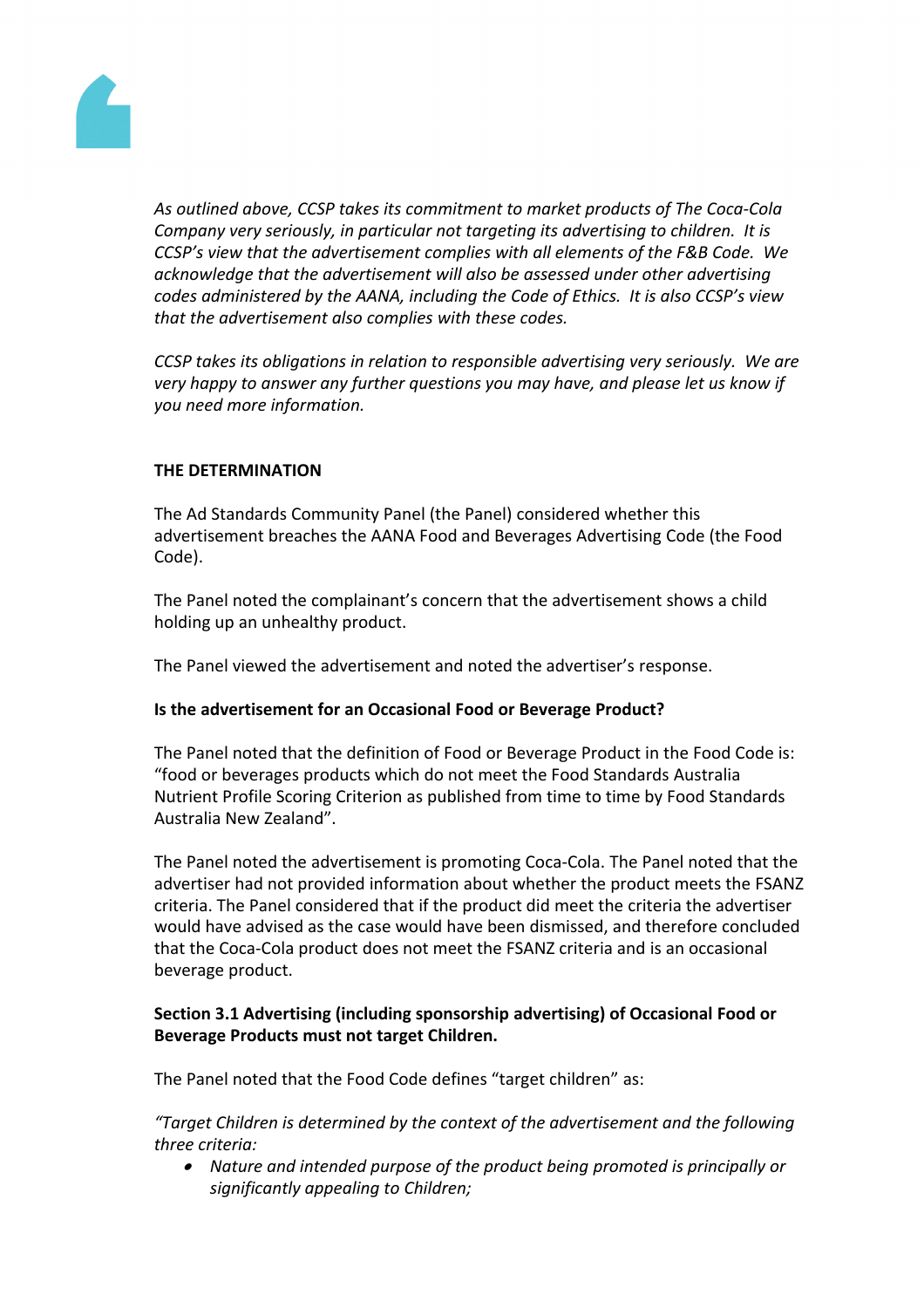

*As outlined above, CCSP takes its commitment to market products of The Coca-Cola Company very seriously, in particular not targeting its advertising to children. It is CCSP's view that the advertisement complies with all elements of the F&B Code. We acknowledge that the advertisement will also be assessed under other advertising codes administered by the AANA, including the Code of Ethics. It is also CCSP's view that the advertisement also complies with these codes.*

*CCSP takes its obligations in relation to responsible advertising very seriously. We are very happy to answer any further questions you may have, and please let us know if you need more information.*

# **THE DETERMINATION**

The Ad Standards Community Panel (the Panel) considered whether this advertisement breaches the AANA Food and Beverages Advertising Code (the Food Code).

The Panel noted the complainant's concern that the advertisement shows a child holding up an unhealthy product.

The Panel viewed the advertisement and noted the advertiser's response.

## **Is the advertisement for an Occasional Food or Beverage Product?**

The Panel noted that the definition of Food or Beverage Product in the Food Code is: "food or beverages products which do not meet the Food Standards Australia Nutrient Profile Scoring Criterion as published from time to time by Food Standards Australia New Zealand".

The Panel noted the advertisement is promoting Coca-Cola. The Panel noted that the advertiser had not provided information about whether the product meets the FSANZ criteria. The Panel considered that if the product did meet the criteria the advertiser would have advised as the case would have been dismissed, and therefore concluded that the Coca-Cola product does not meet the FSANZ criteria and is an occasional beverage product.

# **Section 3.1 Advertising (including sponsorship advertising) of Occasional Food or Beverage Products must not target Children.**

The Panel noted that the Food Code defines "target children" as:

*"Target Children is determined by the context of the advertisement and the following three criteria:*

 *Nature and intended purpose of the product being promoted is principally or significantly appealing to Children;*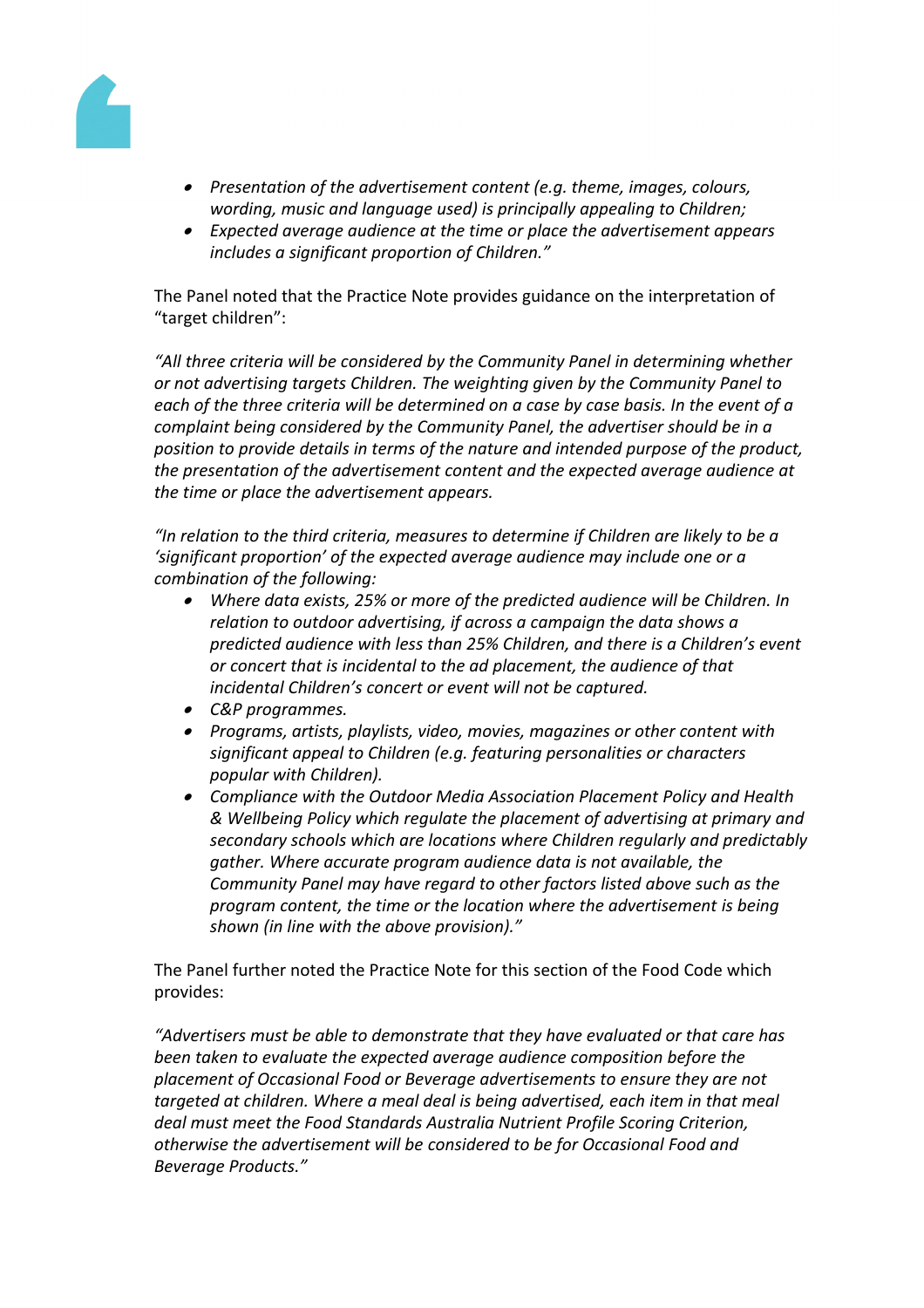

- *Presentation of the advertisement content (e.g. theme, images, colours, wording, music and language used) is principally appealing to Children;*
- *Expected average audience at the time or place the advertisement appears includes a significant proportion of Children."*

The Panel noted that the Practice Note provides guidance on the interpretation of "target children":

*"All three criteria will be considered by the Community Panel in determining whether or not advertising targets Children. The weighting given by the Community Panel to each of the three criteria will be determined on a case by case basis. In the event of a complaint being considered by the Community Panel, the advertiser should be in a position to provide details in terms of the nature and intended purpose of the product, the presentation of the advertisement content and the expected average audience at the time or place the advertisement appears.*

*"In relation to the third criteria, measures to determine if Children are likely to be a 'significant proportion' of the expected average audience may include one or a combination of the following:*

- *Where data exists, 25% or more of the predicted audience will be Children. In relation to outdoor advertising, if across a campaign the data shows a predicted audience with less than 25% Children, and there is a Children's event or concert that is incidental to the ad placement, the audience of that incidental Children's concert or event will not be captured.*
- *C&P programmes.*
- *Programs, artists, playlists, video, movies, magazines or other content with significant appeal to Children (e.g. featuring personalities or characters popular with Children).*
- *Compliance with the Outdoor Media Association Placement Policy and Health & Wellbeing Policy which regulate the placement of advertising at primary and secondary schools which are locations where Children regularly and predictably gather. Where accurate program audience data is not available, the Community Panel may have regard to other factors listed above such as the program content, the time or the location where the advertisement is being shown (in line with the above provision)."*

The Panel further noted the Practice Note for this section of the Food Code which provides:

*"Advertisers must be able to demonstrate that they have evaluated or that care has been taken to evaluate the expected average audience composition before the placement of Occasional Food or Beverage advertisements to ensure they are not targeted at children. Where a meal deal is being advertised, each item in that meal deal must meet the Food Standards Australia Nutrient Profile Scoring Criterion, otherwise the advertisement will be considered to be for Occasional Food and Beverage Products."*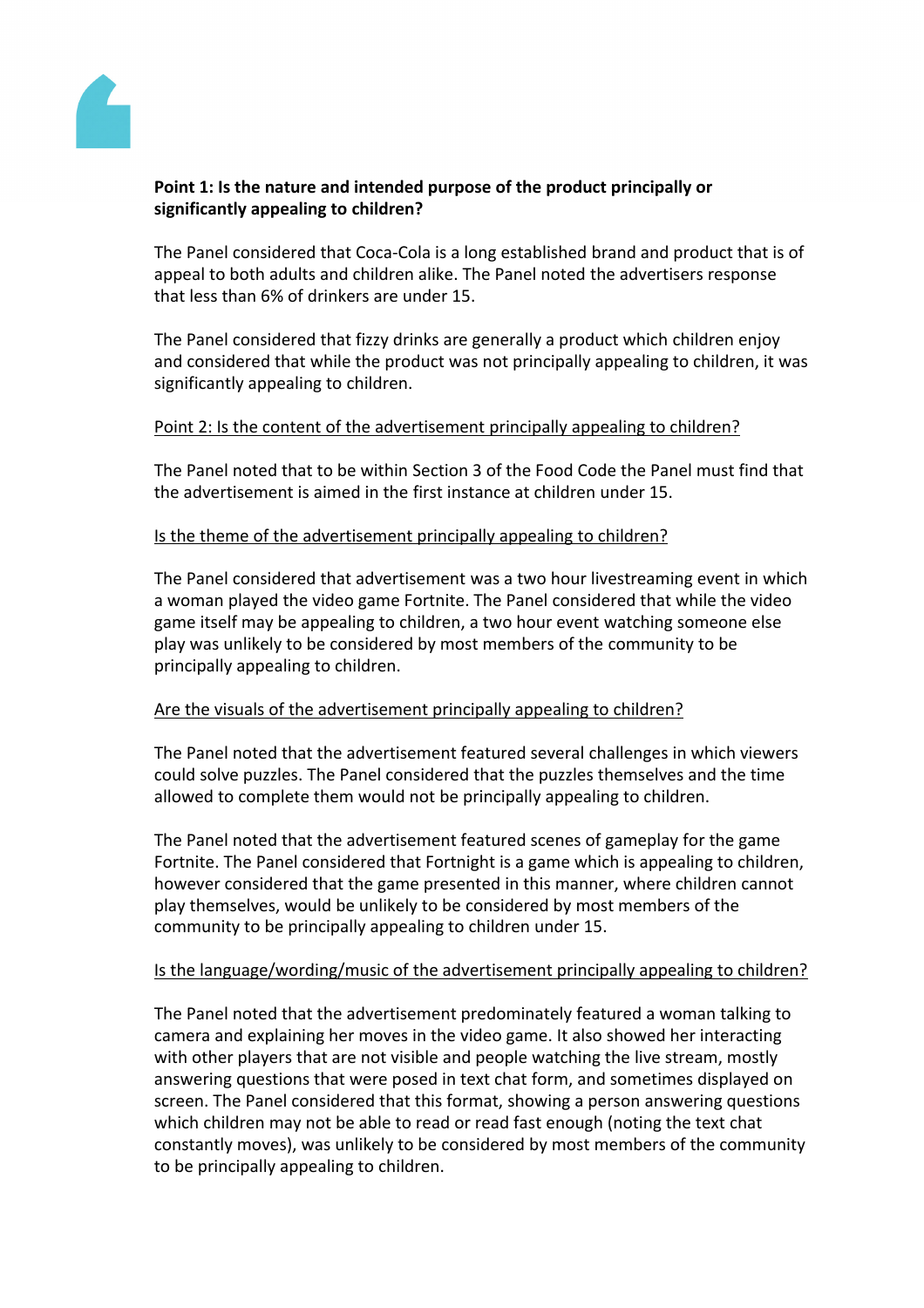

# **Point 1: Is the nature and intended purpose of the product principally or significantly appealing to children?**

The Panel considered that Coca-Cola is a long established brand and product that is of appeal to both adults and children alike. The Panel noted the advertisers response that less than 6% of drinkers are under 15.

The Panel considered that fizzy drinks are generally a product which children enjoy and considered that while the product was not principally appealing to children, it was significantly appealing to children.

# Point 2: Is the content of the advertisement principally appealing to children?

The Panel noted that to be within Section 3 of the Food Code the Panel must find that the advertisement is aimed in the first instance at children under 15.

# Is the theme of the advertisement principally appealing to children?

The Panel considered that advertisement was a two hour livestreaming event in which a woman played the video game Fortnite. The Panel considered that while the video game itself may be appealing to children, a two hour event watching someone else play was unlikely to be considered by most members of the community to be principally appealing to children.

## Are the visuals of the advertisement principally appealing to children?

The Panel noted that the advertisement featured several challenges in which viewers could solve puzzles. The Panel considered that the puzzles themselves and the time allowed to complete them would not be principally appealing to children.

The Panel noted that the advertisement featured scenes of gameplay for the game Fortnite. The Panel considered that Fortnight is a game which is appealing to children, however considered that the game presented in this manner, where children cannot play themselves, would be unlikely to be considered by most members of the community to be principally appealing to children under 15.

## Is the language/wording/music of the advertisement principally appealing to children?

The Panel noted that the advertisement predominately featured a woman talking to camera and explaining her moves in the video game. It also showed her interacting with other players that are not visible and people watching the live stream, mostly answering questions that were posed in text chat form, and sometimes displayed on screen. The Panel considered that this format, showing a person answering questions which children may not be able to read or read fast enough (noting the text chat constantly moves), was unlikely to be considered by most members of the community to be principally appealing to children.